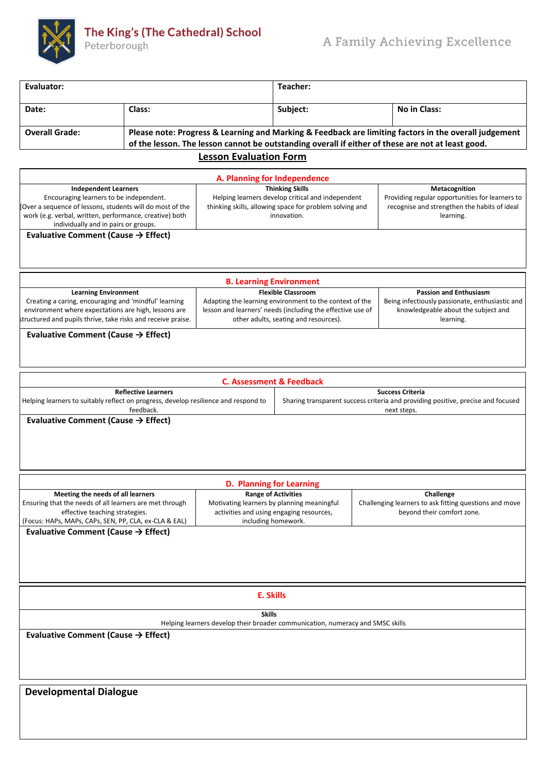

Peterborough

| Evaluator:                                                                                                                                                                                                                                                           |        |                                                                                                                                                       | Teacher:                                                                                                                      |              |  |  |
|----------------------------------------------------------------------------------------------------------------------------------------------------------------------------------------------------------------------------------------------------------------------|--------|-------------------------------------------------------------------------------------------------------------------------------------------------------|-------------------------------------------------------------------------------------------------------------------------------|--------------|--|--|
| Date:                                                                                                                                                                                                                                                                | Class: |                                                                                                                                                       | Subject:                                                                                                                      | No in Class: |  |  |
| Please note: Progress & Learning and Marking & Feedback are limiting factors in the overall judgement<br><b>Overall Grade:</b><br>of the lesson. The lesson cannot be outstanding overall if either of these are not at least good.<br><b>Lesson Evaluation Form</b> |        |                                                                                                                                                       |                                                                                                                               |              |  |  |
| A. Planning for Independence                                                                                                                                                                                                                                         |        |                                                                                                                                                       |                                                                                                                               |              |  |  |
| <b>Independent Learners</b><br>Encouraging learners to be independent.<br>Tover a sequence of lessons, students will do most of the<br>work (e.g. verbal, written, performance, creative) both<br>individually and in pairs or groups.                               |        | <b>Thinking Skills</b><br>Helping learners develop critical and independent<br>thinking skills, allowing space for problem solving and<br>innovation. | Metacognition<br>Providing regular opportunities for learners to<br>recognise and strengthen the habits of ideal<br>learning. |              |  |  |

**Evaluative Comment (Cause → Effect)**

| <b>B. Learning Environment</b>                                                                                                                                                |                                                                                                                                                                |                                                                                                     |  |  |  |
|-------------------------------------------------------------------------------------------------------------------------------------------------------------------------------|----------------------------------------------------------------------------------------------------------------------------------------------------------------|-----------------------------------------------------------------------------------------------------|--|--|--|
| <b>Learning Environment</b>                                                                                                                                                   | <b>Flexible Classroom</b>                                                                                                                                      | <b>Passion and Enthusiasm</b>                                                                       |  |  |  |
| Creating a caring, encouraging and 'mindful' learning<br>environment where expectations are high, lessons are<br>structured and pupils thrive, take risks and receive praise. | Adapting the learning environment to the context of the<br>lesson and learners' needs (including the effective use of<br>other adults, seating and resources). | Being infectiously passionate, enthusiastic and<br>knowledgeable about the subject and<br>learning. |  |  |  |

## **Evaluative Comment (Cause → Effect)**

| C. Assessment & Feedback                                                            |                                                                                  |  |  |  |  |
|-------------------------------------------------------------------------------------|----------------------------------------------------------------------------------|--|--|--|--|
| <b>Reflective Learners</b>                                                          | <b>Success Criteria</b>                                                          |  |  |  |  |
| Helping learners to suitably reflect on progress, develop resilience and respond to | Sharing transparent success criteria and providing positive, precise and focused |  |  |  |  |
| feedback.                                                                           | next steps.                                                                      |  |  |  |  |
| Evaluative Comment (Cause $\rightarrow$ Effect)                                     |                                                                                  |  |  |  |  |

|                                   | <b>D. Planning for Learning</b>                         |                                            |                                                        |  |  |  |
|-----------------------------------|---------------------------------------------------------|--------------------------------------------|--------------------------------------------------------|--|--|--|
| Meeting the needs of all learners |                                                         | <b>Range of Activities</b>                 | Challenge                                              |  |  |  |
|                                   | Ensuring that the needs of all learners are met through | Motivating learners by planning meaningful | Challenging learners to ask fitting questions and move |  |  |  |
|                                   | effective teaching strategies.                          | activities and using engaging resources,   | beyond their comfort zone.                             |  |  |  |
|                                   | (Focus: HAPs, MAPs, CAPs, SEN, PP, CLA, ex-CLA & EAL)   | including homework.                        |                                                        |  |  |  |
|                                   | Evaluative Comment (Cause $\rightarrow$ Effect)         |                                            |                                                        |  |  |  |

**E. Skills**

 **Skills**

Helping learners develop their broader communication, numeracy and SMSC skills

**Evaluative Comment (Cause → Effect)**

**Developmental Dialogue**